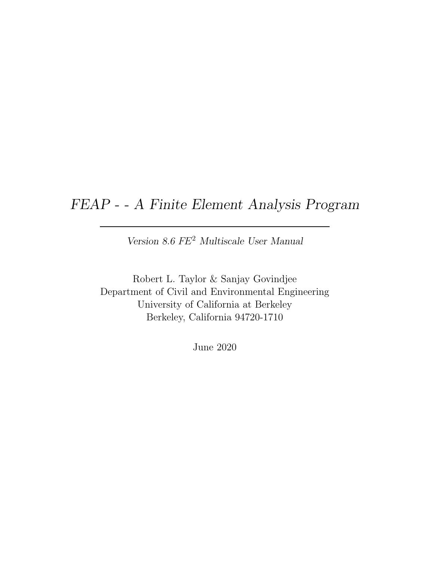## FEAP - - A Finite Element Analysis Program

Version 8.6 FE<sup>2</sup> Multiscale User Manual

Robert L. Taylor & Sanjay Govindjee Department of Civil and Environmental Engineering University of California at Berkeley Berkeley, California 94720-1710

June 2020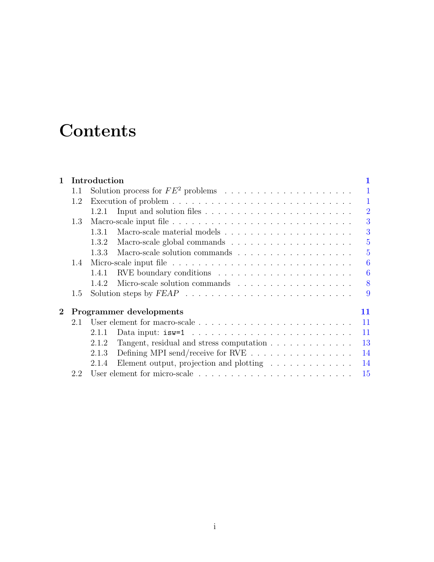# **Contents**

| $\mathbf{1}$ |                               | Introduction |                                                                        |                |
|--------------|-------------------------------|--------------|------------------------------------------------------------------------|----------------|
|              | 1.1                           |              |                                                                        |                |
|              | 1.2                           |              |                                                                        | 1              |
|              |                               | 1.2.1        |                                                                        | $\overline{2}$ |
|              | 1.3                           |              |                                                                        | 3              |
|              |                               | 1.3.1        |                                                                        | 3              |
|              |                               | 1.3.2        |                                                                        | $\overline{5}$ |
|              |                               | 1.3.3        |                                                                        | 5              |
|              | 1.4                           |              |                                                                        | 6              |
|              |                               | 1.4.1        |                                                                        | 6              |
|              |                               | 1.4.2        |                                                                        | 8              |
|              | 1.5                           |              |                                                                        | 9              |
| $\bf{2}$     | Programmer developments<br>11 |              |                                                                        |                |
|              | 2.1                           |              |                                                                        | 11             |
|              |                               | 2.1.1        |                                                                        | 11             |
|              |                               | 2.1.2        | Tangent, residual and stress computation $\ldots \ldots \ldots \ldots$ | 13             |
|              |                               | 2.1.3        | Defining MPI send/receive for RVE                                      | 14             |
|              |                               | 2.1.4        | Element output, projection and plotting $\ldots \ldots \ldots \ldots$  | 14             |
|              |                               |              |                                                                        | 15             |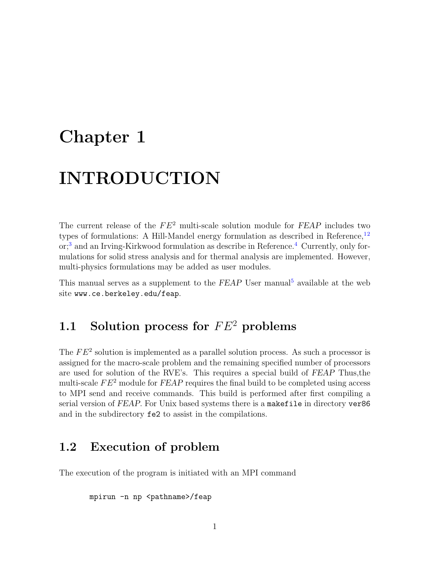# <span id="page-2-3"></span><span id="page-2-0"></span>Chapter 1

# INTRODUCTION

The current release of the  $FE^2$  multi-scale solution module for  $FEAP$  includes two types of formulations: A Hill-Mandel energy formulation as described in Reference, $^{12}$  $^{12}$  $^{12}$  $^{12}$ or;<sup>[3](#page-17-2)</sup> and an Irving-Kirkwood formulation as describe in Reference.<sup>[4](#page-17-3)</sup> Currently, only formulations for solid stress analysis and for thermal analysis are implemented. However, multi-physics formulations may be added as user modules.

This manual serves as a supplement to the  $FEAP$  User manual<sup>[5](#page-17-4)</sup> available at the web site www.ce.berkeley.edu/feap.

## <span id="page-2-1"></span>1.1 Solution process for  $FE^2$  problems

The  $FE<sup>2</sup>$  solution is implemented as a parallel solution process. As such a processor is assigned for the macro-scale problem and the remaining specified number of processors are used for solution of the RVE's. This requires a special build of FEAP Thus,the multi-scale  $FE<sup>2</sup>$  module for  $FEAP$  requires the final build to be completed using access to MPI send and receive commands. This build is performed after first compiling a serial version of FEAP. For Unix based systems there is a makefile in directory ver86 and in the subdirectory fe2 to assist in the compilations.

## <span id="page-2-2"></span>1.2 Execution of problem

The execution of the program is initiated with an MPI command

```
mpirun -n np <pathname>/feap
```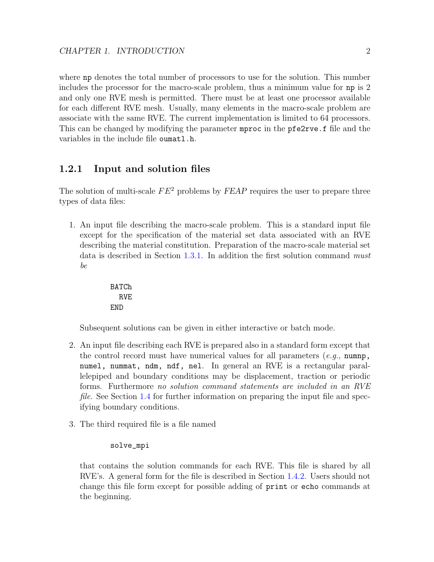where np denotes the total number of processors to use for the solution. This number includes the processor for the macro-scale problem, thus a minimum value for np is 2 and only one RVE mesh is permitted. There must be at least one processor available for each different RVE mesh. Usually, many elements in the macro-scale problem are associate with the same RVE. The current implementation is limited to 64 processors. This can be changed by modifying the parameter mproc in the pfe2rve.f file and the variables in the include file oumatl.h.

### <span id="page-3-0"></span>1.2.1 Input and solution files

The solution of multi-scale  $FE^2$  problems by  $FEAP$  requires the user to prepare three types of data files:

1. An input file describing the macro-scale problem. This is a standard input file except for the specification of the material set data associated with an RVE describing the material constitution. Preparation of the macro-scale material set data is described in Section [1.3.1.](#page-4-1) In addition the first solution command must be

```
BATCh
  RVE
END
```
Subsequent solutions can be given in either interactive or batch mode.

- 2. An input file describing each RVE is prepared also in a standard form except that the control record must have numerical values for all parameters  $(e,q)$ , numnp, numel, nummat, ndm, ndf, nel. In general an RVE is a rectangular parallelepiped and boundary conditions may be displacement, traction or periodic forms. Furthermore no solution command statements are included in an RVE file. See Section [1.4](#page-7-0) for further information on preparing the input file and specifying boundary conditions.
- 3. The third required file is a file named

#### solve\_mpi

that contains the solution commands for each RVE. This file is shared by all RVE's. A general form for the file is described in Section [1.4.2.](#page-9-0) Users should not change this file form except for possible adding of print or echo commands at the beginning.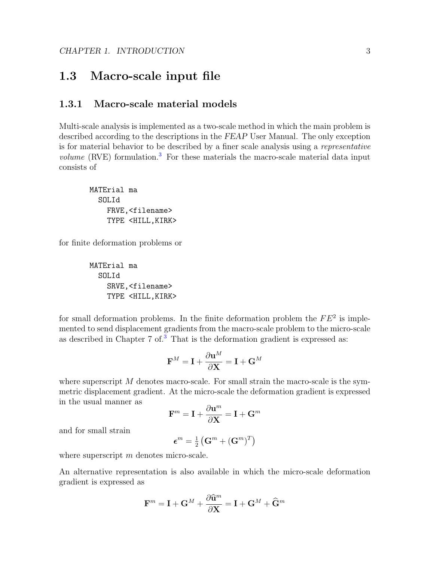## <span id="page-4-2"></span><span id="page-4-0"></span>1.3 Macro-scale input file

### <span id="page-4-1"></span>1.3.1 Macro-scale material models

Multi-scale analysis is implemented as a two-scale method in which the main problem is described according to the descriptions in the FEAP User Manual. The only exception is for material behavior to be described by a finer scale analysis using a representative *volume* (RVE) formulation.<sup>[3](#page-17-2)</sup> For these materials the macro-scale material data input consists of

```
MATErial ma
  SOLId
    FRVE,<filename>
    TYPE <HILL,KIRK>
```
for finite deformation problems or

MATErial ma SOLId SRVE,<filename> TYPE <HILL,KIRK>

for small deformation problems. In the finite deformation problem the  $FE^2$  is implemented to send displacement gradients from the macro-scale problem to the micro-scale as described in Chapter 7 of.<sup>[3](#page-17-2)</sup> That is the deformation gradient is expressed as:

$$
\mathbf{F}^M = \mathbf{I} + \frac{\partial \mathbf{u}^M}{\partial \mathbf{X}} = \mathbf{I} + \mathbf{G}^M
$$

where superscript  $M$  denotes macro-scale. For small strain the macro-scale is the symmetric displacement gradient. At the micro-scale the deformation gradient is expressed in the usual manner as

$$
\mathbf{F}^m = \mathbf{I} + \frac{\partial \mathbf{u}^m}{\partial \mathbf{X}} = \mathbf{I} + \mathbf{G}^m
$$

and for small strain

$$
\boldsymbol{\epsilon}^m = \tfrac{1}{2}\left(\mathbf{G}^m + (\mathbf{G}^m)^T\right)
$$

where superscript m denotes micro-scale.

An alternative representation is also available in which the micro-scale deformation gradient is expressed as

$$
\mathbf{F}^m = \mathbf{I} + \mathbf{G}^M + \frac{\partial \widehat{\mathbf{u}}^m}{\partial \mathbf{X}} = \mathbf{I} + \mathbf{G}^M + \widehat{\mathbf{G}}^m
$$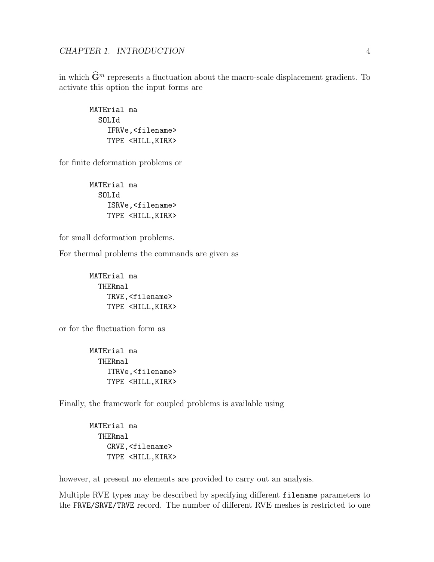<span id="page-5-0"></span>in which  $\widehat{\mathbf{G}}^m$  represents a fluctuation about the macro-scale displacement gradient. To activate this option the input forms are

MATErial ma SOLId IFRVe,<filename> TYPE <HILL,KIRK>

for finite deformation problems or

MATErial ma SOLId ISRVe,<filename> TYPE <HILL,KIRK>

for small deformation problems.

For thermal problems the commands are given as

MATErial ma THERmal TRVE,<filename> TYPE <HILL,KIRK>

or for the fluctuation form as

MATErial ma THERmal ITRVe,<filename> TYPE <HILL,KIRK>

Finally, the framework for coupled problems is available using

MATErial ma THERmal CRVE,<filename> TYPE <HILL,KIRK>

however, at present no elements are provided to carry out an analysis.

Multiple RVE types may be described by specifying different filename parameters to the FRVE/SRVE/TRVE record. The number of different RVE meshes is restricted to one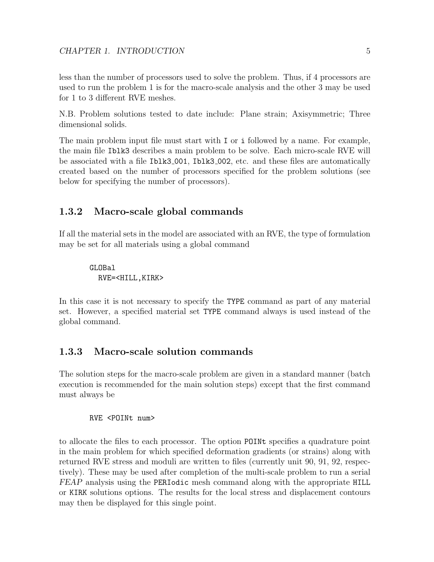<span id="page-6-2"></span>less than the number of processors used to solve the problem. Thus, if 4 processors are used to run the problem 1 is for the macro-scale analysis and the other 3 may be used for 1 to 3 different RVE meshes.

N.B. Problem solutions tested to date include: Plane strain; Axisymmetric; Three dimensional solids.

The main problem input file must start with I or i followed by a name. For example, the main file Iblk3 describes a main problem to be solve. Each micro-scale RVE will be associated with a file Iblk3 001, Iblk3 002, etc. and these files are automatically created based on the number of processors specified for the problem solutions (see below for specifying the number of processors).

### <span id="page-6-0"></span>1.3.2 Macro-scale global commands

If all the material sets in the model are associated with an RVE, the type of formulation may be set for all materials using a global command

#### GLOBal RVE=<HILL,KIRK>

In this case it is not necessary to specify the TYPE command as part of any material set. However, a specified material set TYPE command always is used instead of the global command.

### <span id="page-6-1"></span>1.3.3 Macro-scale solution commands

The solution steps for the macro-scale problem are given in a standard manner (batch execution is recommended for the main solution steps) except that the first command must always be

#### RVE <POINt num>

to allocate the files to each processor. The option POINt specifies a quadrature point in the main problem for which specified deformation gradients (or strains) along with returned RVE stress and moduli are written to files (currently unit 90, 91, 92, respectively). These may be used after completion of the multi-scale problem to run a serial FEAP analysis using the PERIodic mesh command along with the appropriate HILL or KIRK solutions options. The results for the local stress and displacement contours may then be displayed for this single point.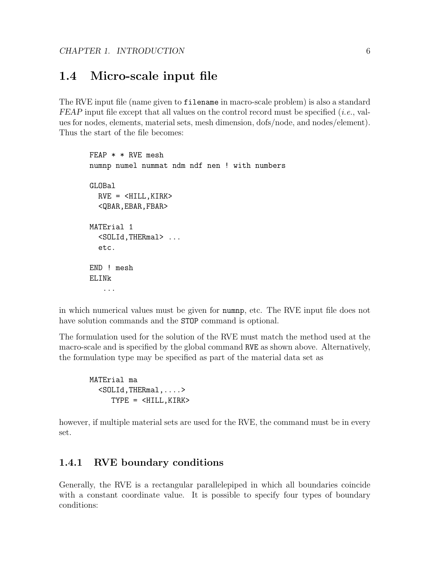## <span id="page-7-2"></span><span id="page-7-0"></span>1.4 Micro-scale input file

The RVE input file (name given to filename in macro-scale problem) is also a standard  $FEAP$  input file except that all values on the control record must be specified (*i.e.*, values for nodes, elements, material sets, mesh dimension, dofs/node, and nodes/element). Thus the start of the file becomes:

```
FEAP * * RVE mesh
numnp numel nummat ndm ndf nen ! with numbers
GLOBal
  RVE = <HILL, KIRK><QBAR,EBAR,FBAR>
MATErial 1
  <SOLId,THERmal> ...
  etc.
END ! mesh
ELINk
   ...
```
in which numerical values must be given for numnp, etc. The RVE input file does not have solution commands and the STOP command is optional.

The formulation used for the solution of the RVE must match the method used at the macro-scale and is specified by the global command RVE as shown above. Alternatively, the formulation type may be specified as part of the material data set as

MATErial ma <SOLId,THERmal,....> TYPE = <HILL,KIRK>

however, if multiple material sets are used for the RVE, the command must be in every set.

### <span id="page-7-1"></span>1.4.1 RVE boundary conditions

Generally, the RVE is a rectangular parallelepiped in which all boundaries coincide with a constant coordinate value. It is possible to specify four types of boundary conditions: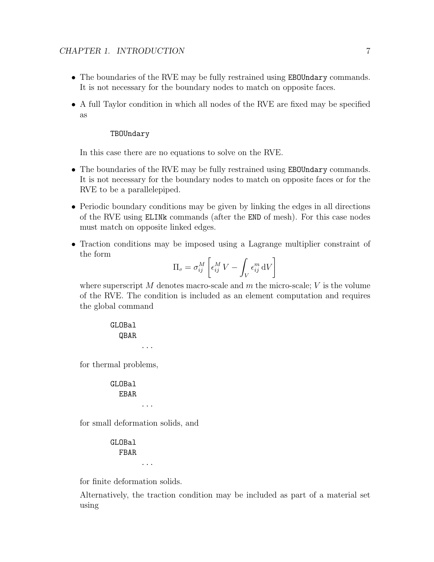- <span id="page-8-0"></span>• The boundaries of the RVE may be fully restrained using **EBOUndary** commands. It is not necessary for the boundary nodes to match on opposite faces.
- A full Taylor condition in which all nodes of the RVE are fixed may be specified as

#### TBOUndary

In this case there are no equations to solve on the RVE.

- The boundaries of the RVE may be fully restrained using **EBOUndary** commands. It is not necessary for the boundary nodes to match on opposite faces or for the RVE to be a parallelepiped.
- Periodic boundary conditions may be given by linking the edges in all directions of the RVE using ELINk commands (after the END of mesh). For this case nodes must match on opposite linked edges.
- Traction conditions may be imposed using a Lagrange multiplier constraint of the form

$$
\Pi_{\sigma} = \sigma_{ij}^M \left[ \epsilon_{ij}^M V - \int_V \epsilon_{ij}^m dV \right]
$$

where superscript  $M$  denotes macro-scale and  $m$  the micro-scale;  $V$  is the volume of the RVE. The condition is included as an element computation and requires the global command

> GLOBal QBAR ...

for thermal problems,

GLOBal EBAR ...

for small deformation solids, and

GLOBal FBAR ...

for finite deformation solids.

Alternatively, the traction condition may be included as part of a material set using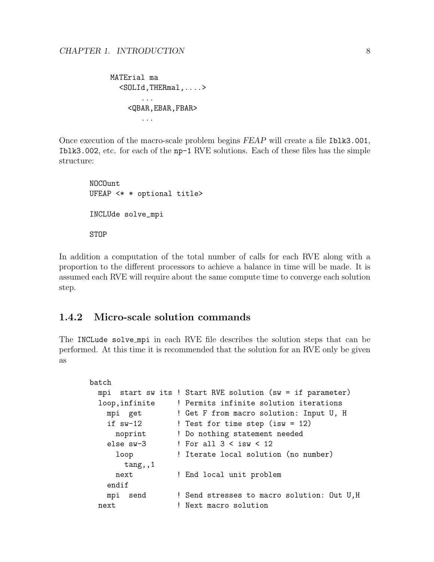```
MATErial ma
  <SOLId,THERmal,....>
       ...
    <QBAR,EBAR,FBAR>
       ...
```
Once execution of the macro-scale problem begins FEAP will create a file Iblk3.001, Iblk3.002, etc. for each of the np-1 RVE solutions. Each of these files has the simple structure:

NOCOunt UFEAP <\* \* optional title> INCLUde solve\_mpi **STOP** 

In addition a computation of the total number of calls for each RVE along with a proportion to the different processors to achieve a balance in time will be made. It is assumed each RVE will require about the same compute time to converge each solution step.

### <span id="page-9-0"></span>1.4.2 Micro-scale solution commands

The INCLude solve mpi in each RVE file describes the solution steps that can be performed. At this time it is recommended that the solution for an RVE only be given as

```
batch
 mpi start sw its ! Start RVE solution (sw = if parameter)
 loop,infinite ! Permits infinite solution iterations
   mpi get ! Get F from macro solution: Input U, H
   if sw-12 ! Test for time step (isw = 12)
     noprint ! Do nothing statement needed
   else sw-3 \qquad ! For all 3 < isw < 12
     loop ! Iterate local solution (no number)
       tang,,1
     next ! End local unit problem
   endif
   mpi send ! Send stresses to macro solution: Out U,H
 next ! Next macro solution
```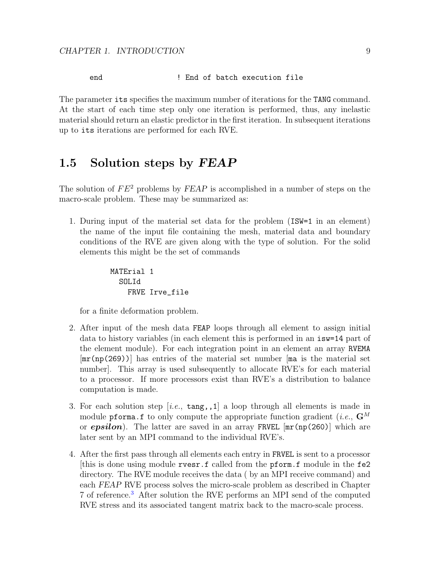<span id="page-10-1"></span>end  $\qquad$  ! End of batch execution file

The parameter its specifies the maximum number of iterations for the TANG command. At the start of each time step only one iteration is performed, thus, any inelastic material should return an elastic predictor in the first iteration. In subsequent iterations up to its iterations are performed for each RVE.

## <span id="page-10-0"></span>1.5 Solution steps by FEAP

The solution of  $FE^2$  problems by  $FEAP$  is accomplished in a number of steps on the macro-scale problem. These may be summarized as:

1. During input of the material set data for the problem (ISW=1 in an element) the name of the input file containing the mesh, material data and boundary conditions of the RVE are given along with the type of solution. For the solid elements this might be the set of commands

```
MATErial 1
  SOLId
    FRVE Irve_file
```
for a finite deformation problem.

- 2. After input of the mesh data FEAP loops through all element to assign initial data to history variables (in each element this is performed in an isw=14 part of the element module). For each integration point in an element an array RVEMA [mr(np(269))] has entries of the material set number [ma is the material set number]. This array is used subsequently to allocate RVE's for each material to a processor. If more processors exist than RVE's a distribution to balance computation is made.
- 3. For each solution step [i.e.,  $\text{tang},1$ ] a loop through all elements is made in module pforma.f to only compute the appropriate function gradient (*i.e.*,  $\mathbf{G}^{M}$ or **epsilon**). The latter are saved in an array FRVEL  $[\text{mr(np(260)}]$  which are later sent by an MPI command to the individual RVE's.
- 4. After the first pass through all elements each entry in FRVEL is sent to a processor [this is done using module rvesr.f called from the pform.f module in the fe2 directory. The RVE module receives the data ( by an MPI receive command) and each FEAP RVE process solves the micro-scale problem as described in Chapter 7 of reference.[3](#page-17-2) After solution the RVE performs an MPI send of the computed RVE stress and its associated tangent matrix back to the macro-scale process.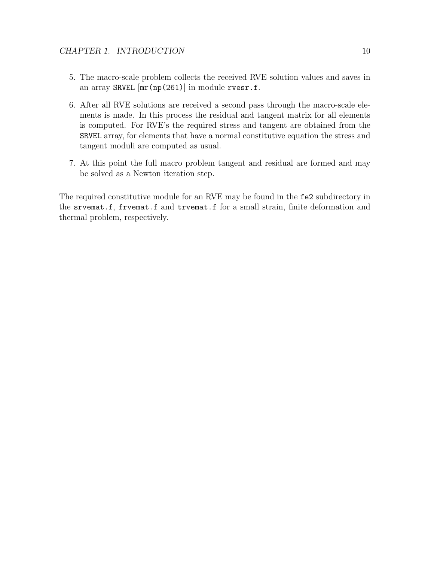- 5. The macro-scale problem collects the received RVE solution values and saves in an array SRVEL [mr(np(261)] in module rvesr.f.
- 6. After all RVE solutions are received a second pass through the macro-scale elements is made. In this process the residual and tangent matrix for all elements is computed. For RVE's the required stress and tangent are obtained from the SRVEL array, for elements that have a normal constitutive equation the stress and tangent moduli are computed as usual.
- 7. At this point the full macro problem tangent and residual are formed and may be solved as a Newton iteration step.

The required constitutive module for an RVE may be found in the fe2 subdirectory in the srvemat.f, frvemat.f and trvemat.f for a small strain, finite deformation and thermal problem, respectively.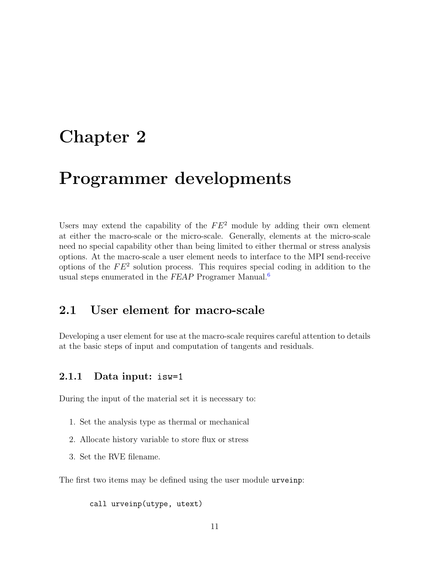# <span id="page-12-3"></span><span id="page-12-0"></span>Chapter 2

# Programmer developments

Users may extend the capability of the  $FE^2$  module by adding their own element at either the macro-scale or the micro-scale. Generally, elements at the micro-scale need no special capability other than being limited to either thermal or stress analysis options. At the macro-scale a user element needs to interface to the MPI send-receive options of the  $FE<sup>2</sup>$  solution process. This requires special coding in addition to the usual steps enumerated in the FEAP Programer Manual. $<sup>6</sup>$  $<sup>6</sup>$  $<sup>6</sup>$ </sup>

### <span id="page-12-1"></span>2.1 User element for macro-scale

Developing a user element for use at the macro-scale requires careful attention to details at the basic steps of input and computation of tangents and residuals.

### <span id="page-12-2"></span>2.1.1 Data input: isw=1

During the input of the material set it is necessary to:

- 1. Set the analysis type as thermal or mechanical
- 2. Allocate history variable to store flux or stress
- 3. Set the RVE filename.

The first two items may be defined using the user module urveinp:

call urveinp(utype, utext)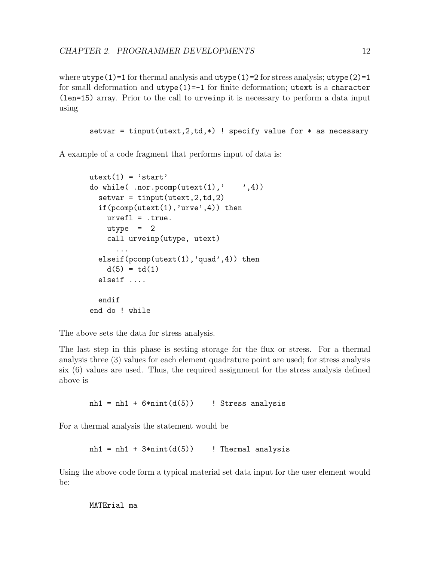where  $utype(1)=1$  for thermal analysis and  $utype(1)=2$  for stress analysis;  $utype(2)=1$ for small deformation and utype(1)=-1 for finite deformation; utext is a character (len=15) array. Prior to the call to urveinp it is necessary to perform a data input using

setvar = tinput(utext, 2, td, \*) ! specify value for \* as necessary

A example of a code fragment that performs input of data is:

```
utext(1) = 'start'do while( .nor.pcomp(utext(1),' ',4))
  setvar = tinput(utext, 2, td, 2)if(pcomp(utext(1),'urve',4)) then
    urvefl = .true.
    utype = 2call urveinp(utype, utext)
      ...
  elseif(pcomp(utext(1),'quad',4)) then
    d(5) = td(1)elseif ....
  endif
end do ! while
```
The above sets the data for stress analysis.

The last step in this phase is setting storage for the flux or stress. For a thermal analysis three (3) values for each element quadrature point are used; for stress analysis six (6) values are used. Thus, the required assignment for the stress analysis defined above is

 $nh1 = nh1 + 6*nint(d(5))$  ! Stress analysis

For a thermal analysis the statement would be

nh1 = nh1 +  $3 * nint(d(5))$  ! Thermal analysis

Using the above code form a typical material set data input for the user element would be:

MATErial ma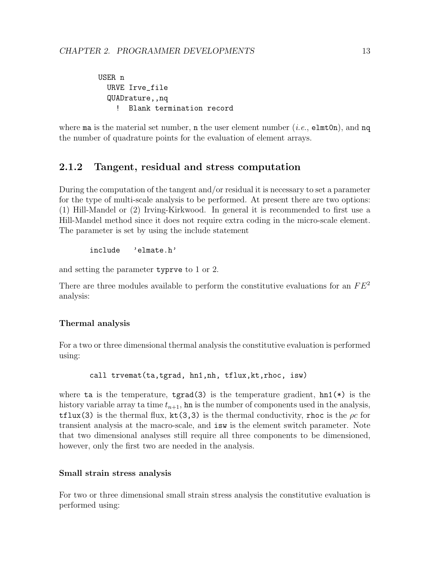<span id="page-14-1"></span>USER n URVE Irve\_file QUADrature,,nq ! Blank termination record

where ma is the material set number, n the user element number (*i.e.*,  $\epsilon$ lmt0n), and nq the number of quadrature points for the evaluation of element arrays.

### <span id="page-14-0"></span>2.1.2 Tangent, residual and stress computation

During the computation of the tangent and/or residual it is necessary to set a parameter for the type of multi-scale analysis to be performed. At present there are two options: (1) Hill-Mandel or (2) Irving-Kirkwood. In general it is recommended to first use a Hill-Mandel method since it does not require extra coding in the micro-scale element. The parameter is set by using the include statement

include 'elmate.h'

and setting the parameter typrve to 1 or 2.

There are three modules available to perform the constitutive evaluations for an  $FE^2$ analysis:

#### Thermal analysis

For a two or three dimensional thermal analysis the constitutive evaluation is performed using:

call trvemat(ta,tgrad, hn1,nh, tflux,kt,rhoc, isw)

where ta is the temperature, tgrad(3) is the temperature gradient,  $hn1(*)$  is the history variable array ta time  $t_{n+1}$ , hn is the number of components used in the analysis, tflux(3) is the thermal flux, kt(3,3) is the thermal conductivity, rhoc is the  $\rho c$  for transient analysis at the macro-scale, and isw is the element switch parameter. Note that two dimensional analyses still require all three components to be dimensioned, however, only the first two are needed in the analysis.

#### Small strain stress analysis

For two or three dimensional small strain stress analysis the constitutive evaluation is performed using: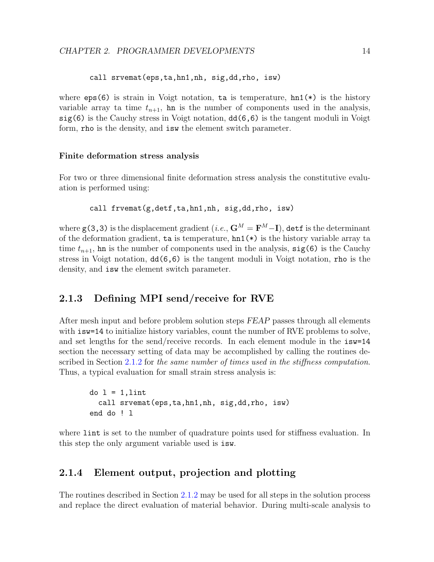<span id="page-15-2"></span>call srvemat(eps,ta,hn1,nh, sig,dd,rho, isw)

where  $eps(6)$  is strain in Voigt notation, ta is temperature,  $hn1(*)$  is the history variable array ta time  $t_{n+1}$ , hn is the number of components used in the analysis, sig(6) is the Cauchy stress in Voigt notation, dd(6,6) is the tangent moduli in Voigt form, rho is the density, and isw the element switch parameter.

#### Finite deformation stress analysis

For two or three dimensional finite deformation stress analysis the constitutive evaluation is performed using:

```
call frvemat(g,detf,ta,hn1,nh, sig,dd,rho, isw)
```
where  $\boldsymbol{\mathsf{g}}(3,3)$  is the displacement gradient  $(i.e., \mathbf{G}^{M}=\mathbf{F}^{M}-\mathbf{I}),$  det $\boldsymbol{\mathsf{f}}$  is the determinant of the deformation gradient,  $\tan$  is temperature,  $\tan 1(*)$  is the history variable array ta time  $t_{n+1}$ , hn is the number of components used in the analysis,  $sig(6)$  is the Cauchy stress in Voigt notation, dd(6,6) is the tangent moduli in Voigt notation, rho is the density, and isw the element switch parameter.

### <span id="page-15-0"></span>2.1.3 Defining MPI send/receive for RVE

After mesh input and before problem solution steps FEAP passes through all elements with  $i$  sw=14 to initialize history variables, count the number of RVE problems to solve, and set lengths for the send/receive records. In each element module in the isw=14 section the necessary setting of data may be accomplished by calling the routines de-scribed in Section [2.1.2](#page-14-0) for the same number of times used in the stiffness computation. Thus, a typical evaluation for small strain stress analysis is:

```
do 1 = 1,lint
  call srvemat(eps,ta,hn1,nh, sig,dd,rho, isw)
end do ! l
```
where lint is set to the number of quadrature points used for stiffness evaluation. In this step the only argument variable used is isw.

### <span id="page-15-1"></span>2.1.4 Element output, projection and plotting

The routines described in Section [2.1.2](#page-14-0) may be used for all steps in the solution process and replace the direct evaluation of material behavior. During multi-scale analysis to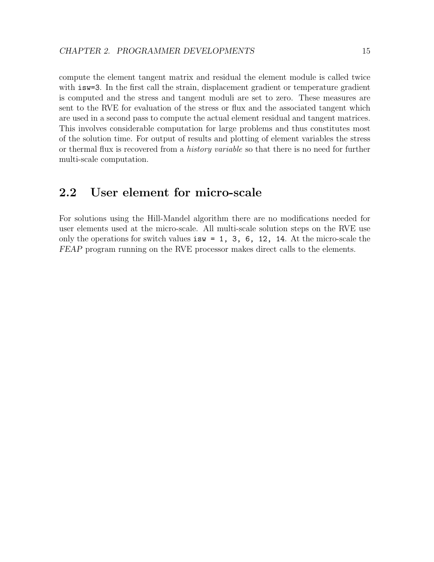<span id="page-16-1"></span>compute the element tangent matrix and residual the element module is called twice with **isw=3**. In the first call the strain, displacement gradient or temperature gradient is computed and the stress and tangent moduli are set to zero. These measures are sent to the RVE for evaluation of the stress or flux and the associated tangent which are used in a second pass to compute the actual element residual and tangent matrices. This involves considerable computation for large problems and thus constitutes most of the solution time. For output of results and plotting of element variables the stress or thermal flux is recovered from a *history variable* so that there is no need for further multi-scale computation.

## <span id="page-16-0"></span>2.2 User element for micro-scale

For solutions using the Hill-Mandel algorithm there are no modifications needed for user elements used at the micro-scale. All multi-scale solution steps on the RVE use only the operations for switch values  $isw = 1, 3, 6, 12, 14$ . At the micro-scale the FEAP program running on the RVE processor makes direct calls to the elements.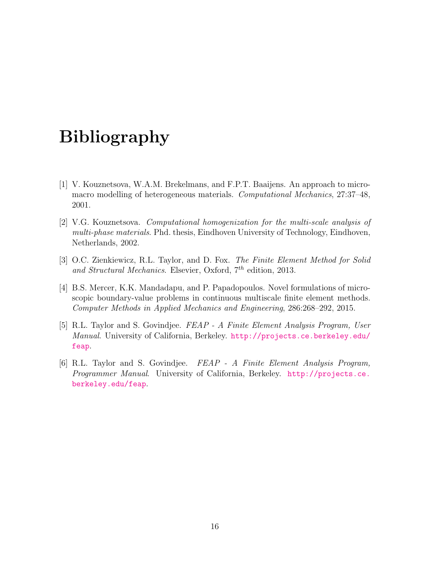# Bibliography

- <span id="page-17-0"></span>[1] V. Kouznetsova, W.A.M. Brekelmans, and F.P.T. Baaijens. An approach to micromacro modelling of heterogeneous materials. Computational Mechanics, 27:37–48, 2001.
- <span id="page-17-1"></span>[2] V.G. Kouznetsova. Computational homogenization for the multi-scale analysis of multi-phase materials. Phd. thesis, Eindhoven University of Technology, Eindhoven, Netherlands, 2002.
- <span id="page-17-2"></span>[3] O.C. Zienkiewicz, R.L. Taylor, and D. Fox. The Finite Element Method for Solid and Structural Mechanics. Elsevier, Oxford,  $7<sup>th</sup>$  edition, 2013.
- <span id="page-17-3"></span>[4] B.S. Mercer, K.K. Mandadapu, and P. Papadopoulos. Novel formulations of microscopic boundary-value problems in continuous multiscale finite element methods. Computer Methods in Applied Mechanics and Engineering, 286:268–292, 2015.
- <span id="page-17-4"></span>[5] R.L. Taylor and S. Govindjee. FEAP - A Finite Element Analysis Program, User Manual. University of California, Berkeley. [http://projects.ce.berkeley.edu/](http://projects.ce.berkeley.edu/feap) [feap](http://projects.ce.berkeley.edu/feap).
- <span id="page-17-5"></span>[6] R.L. Taylor and S. Govindjee. FEAP - A Finite Element Analysis Program, Programmer Manual. University of California, Berkeley. [http://projects.ce.](http://projects.ce.berkeley.edu/feap) [berkeley.edu/feap](http://projects.ce.berkeley.edu/feap).